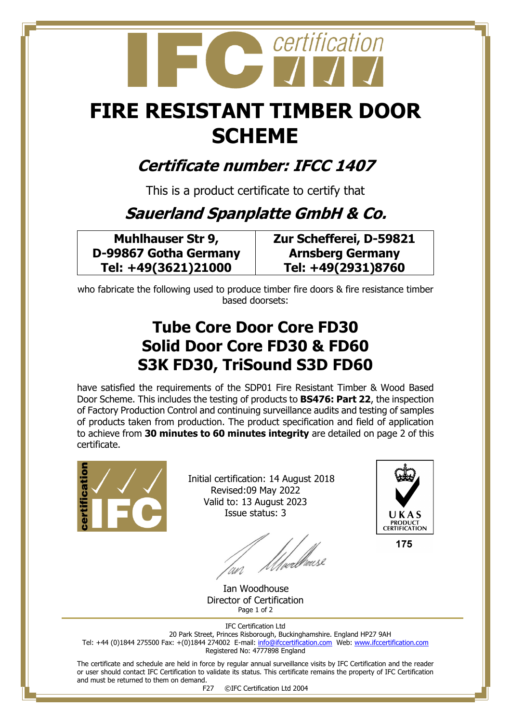# certification

## **FIRE RESISTANT TIMBER DOOR SCHEME**

#### **Certificate number: IFCC 1407**

This is a product certificate to certify that

### **Sauerland Spanplatte GmbH & Co.**

**Muhlhauser Str 9, D-99867 Gotha Germany Tel: +49(3621)21000**

**Zur Schefferei, D-59821 Arnsberg Germany Tel: +49(2931)8760**

who fabricate the following used to produce timber fire doors & fire resistance timber based doorsets:

#### **Tube Core Door Core FD30 Solid Door Core FD30 & FD60 S3K FD30, TriSound S3D FD60**

have satisfied the requirements of the SDP01 Fire Resistant Timber & Wood Based Door Scheme. This includes the testing of products to **BS476: Part 22**, the inspection of Factory Production Control and continuing surveillance audits and testing of samples of products taken from production. The product specification and field of application to achieve from **30 minutes to 60 minutes integrity** are detailed on page 2 of this certificate.



 Initial certification: 14 August 2018 Revised:09 May 2022 Valid to: 13 August 2023 Issue status: 3

//webbause



 Ian Woodhouse Director of Certification Page 1 of 2

IFC Certification Ltd 20 Park Street, Princes Risborough, Buckinghamshire. England HP27 9AH Tel: +44 (0)1844 275500 Fax: +(0)1844 274002 E-mail[: info@ifccertification.com](mailto:info@ifccertification.com) Web: [www.ifccertification.com](http://www.ifccertification.com/) Registered No: 4777898 England

The certificate and schedule are held in force by regular annual surveillance visits by IFC Certification and the reader or user should contact IFC Certification to validate its status. This certificate remains the property of IFC Certification and must be returned to them on demand.

F27 ©IFC Certification Ltd 2004